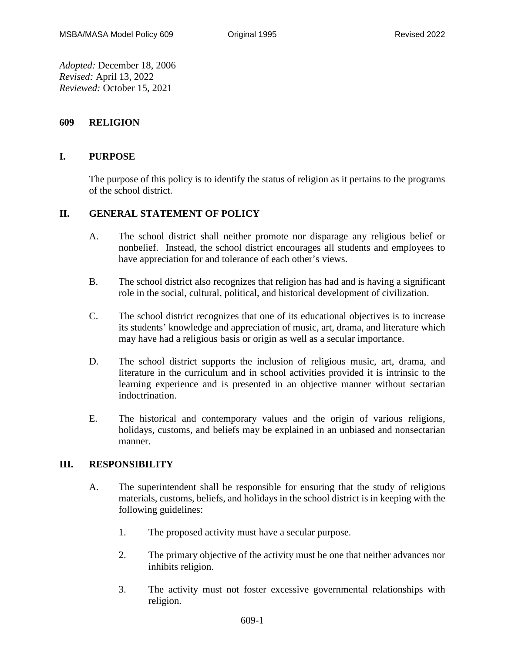*Adopted:* December 18, 2006 *Revised:* April 13, 2022 *Reviewed:* October 15, 2021

## **609 RELIGION**

## **I. PURPOSE**

The purpose of this policy is to identify the status of religion as it pertains to the programs of the school district.

## **II. GENERAL STATEMENT OF POLICY**

- A. The school district shall neither promote nor disparage any religious belief or nonbelief. Instead, the school district encourages all students and employees to have appreciation for and tolerance of each other's views.
- B. The school district also recognizes that religion has had and is having a significant role in the social, cultural, political, and historical development of civilization.
- C. The school district recognizes that one of its educational objectives is to increase its students' knowledge and appreciation of music, art, drama, and literature which may have had a religious basis or origin as well as a secular importance.
- D. The school district supports the inclusion of religious music, art, drama, and literature in the curriculum and in school activities provided it is intrinsic to the learning experience and is presented in an objective manner without sectarian indoctrination.
- E. The historical and contemporary values and the origin of various religions, holidays, customs, and beliefs may be explained in an unbiased and nonsectarian manner.

## **III. RESPONSIBILITY**

- A. The superintendent shall be responsible for ensuring that the study of religious materials, customs, beliefs, and holidays in the school district is in keeping with the following guidelines:
	- 1. The proposed activity must have a secular purpose.
	- 2. The primary objective of the activity must be one that neither advances nor inhibits religion.
	- 3. The activity must not foster excessive governmental relationships with religion.